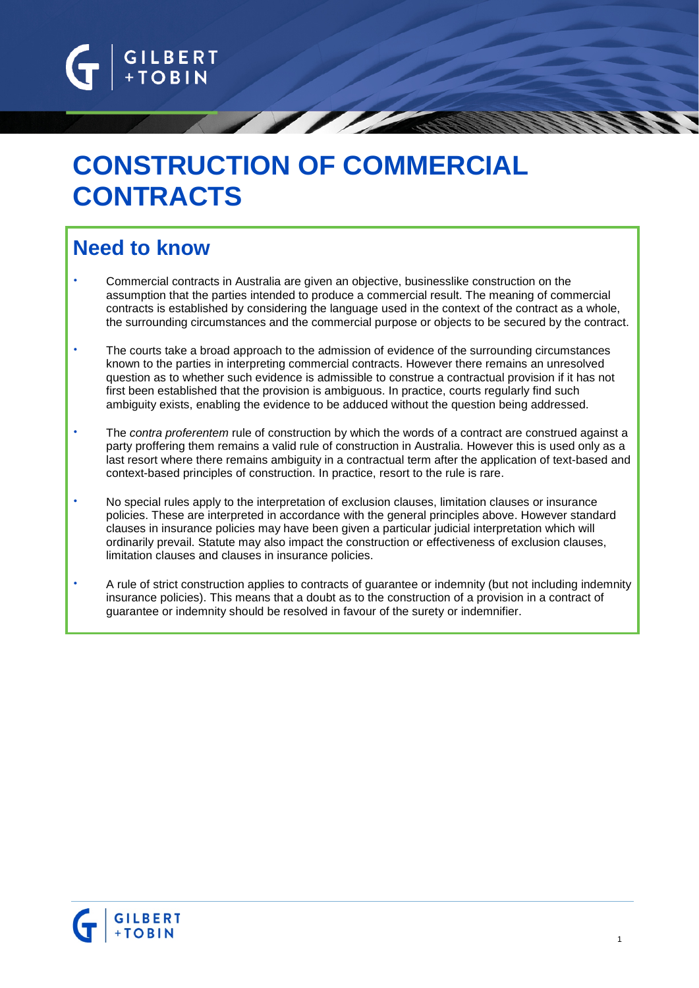

# **CONSTRUCTION OF COMMERCIAL CONTRACTS**

# **Need to know**

- Commercial contracts in Australia are given an objective, businesslike construction on the assumption that the parties intended to produce a commercial result. The meaning of commercial contracts is established by considering the language used in the context of the contract as a whole, the surrounding circumstances and the commercial purpose or objects to be secured by the contract.
- The courts take a broad approach to the admission of evidence of the surrounding circumstances known to the parties in interpreting commercial contracts. However there remains an unresolved question as to whether such evidence is admissible to construe a contractual provision if it has not first been established that the provision is ambiguous. In practice, courts regularly find such ambiguity exists, enabling the evidence to be adduced without the question being addressed.
- The *contra proferentem* rule of construction by which the words of a contract are construed against a party proffering them remains a valid rule of construction in Australia. However this is used only as a last resort where there remains ambiguity in a contractual term after the application of text-based and context-based principles of construction. In practice, resort to the rule is rare.
- No special rules apply to the interpretation of exclusion clauses, limitation clauses or insurance policies. These are interpreted in accordance with the general principles above. However standard clauses in insurance policies may have been given a particular judicial interpretation which will ordinarily prevail. Statute may also impact the construction or effectiveness of exclusion clauses, limitation clauses and clauses in insurance policies.
- A rule of strict construction applies to contracts of guarantee or indemnity (but not including indemnity insurance policies). This means that a doubt as to the construction of a provision in a contract of guarantee or indemnity should be resolved in favour of the surety or indemnifier.

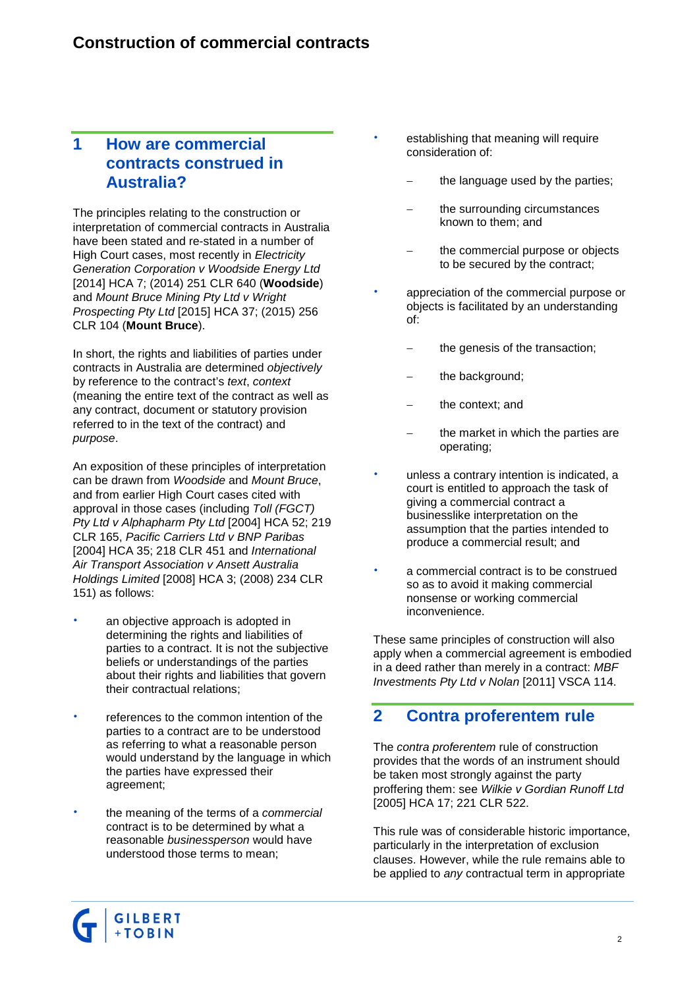#### **1 How are commercial contracts construed in Australia?**

The principles relating to the construction or interpretation of commercial contracts in Australia have been stated and re-stated in a number of High Court cases, most recently in *Electricity Generation Corporation v Woodside Energy Ltd* [2014] HCA 7; (2014) 251 CLR 640 (**Woodside**) and *Mount Bruce Mining Pty Ltd v Wright Prospecting Pty Ltd* [2015] HCA 37; (2015) 256 CLR 104 (**Mount Bruce**).

In short, the rights and liabilities of parties under contracts in Australia are determined *objectively* by reference to the contract's *text*, *context* (meaning the entire text of the contract as well as any contract, document or statutory provision referred to in the text of the contract) and *purpose*.

An exposition of these principles of interpretation can be drawn from *Woodside* and *Mount Bruce*, and from earlier High Court cases cited with approval in those cases (including *Toll (FGCT) Pty Ltd v Alphapharm Pty Ltd* [2004] HCA 52; 219 CLR 165, *Pacific Carriers Ltd v BNP Paribas* [2004] HCA 35; 218 CLR 451 and *International Air Transport Association v Ansett Australia Holdings Limited* [2008] HCA 3; (2008) 234 CLR 151) as follows:

- an objective approach is adopted in determining the rights and liabilities of parties to a contract. It is not the subjective beliefs or understandings of the parties about their rights and liabilities that govern their contractual relations;
- references to the common intention of the parties to a contract are to be understood as referring to what a reasonable person would understand by the language in which the parties have expressed their agreement;
- the meaning of the terms of a *commercial* contract is to be determined by what a reasonable *businessperson* would have understood those terms to mean;
- establishing that meaning will require consideration of:
	- the language used by the parties;
	- the surrounding circumstances known to them; and
	- the commercial purpose or objects to be secured by the contract;
- appreciation of the commercial purpose or objects is facilitated by an understanding of:
	- the genesis of the transaction;
	- the background;
	- the context; and
	- the market in which the parties are operating;
- unless a contrary intention is indicated, a court is entitled to approach the task of giving a commercial contract a businesslike interpretation on the assumption that the parties intended to produce a commercial result; and
- a commercial contract is to be construed so as to avoid it making commercial nonsense or working commercial inconvenience.

These same principles of construction will also apply when a commercial agreement is embodied in a deed rather than merely in a contract: *MBF Investments Pty Ltd v Nolan* [2011] VSCA 114.

## **2 Contra proferentem rule**

The *contra proferentem* rule of construction provides that the words of an instrument should be taken most strongly against the party proffering them: see *Wilkie v Gordian Runoff Ltd* [2005] HCA 17; 221 CLR 522.

This rule was of considerable historic importance, particularly in the interpretation of exclusion clauses. However, while the rule remains able to be applied to *any* contractual term in appropriate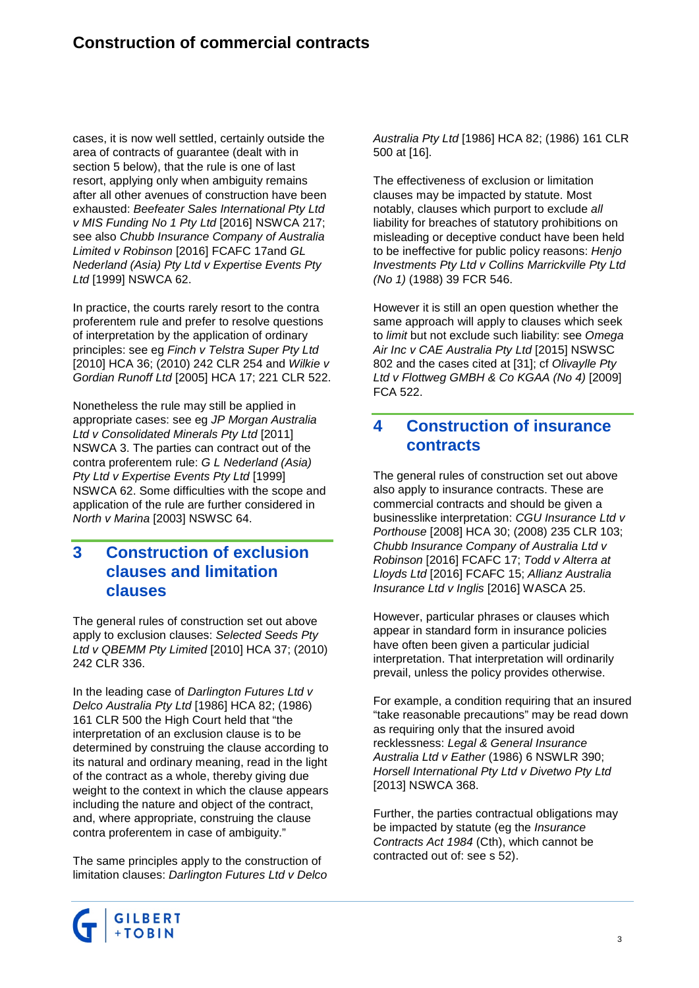cases, it is now well settled, certainly outside the area of contracts of guarantee (dealt with in section 5 below), that the rule is one of last resort, applying only when ambiguity remains after all other avenues of construction have been exhausted: *Beefeater Sales International Pty Ltd v MIS Funding No 1 Pty Ltd* [2016] NSWCA 217; see also *Chubb Insurance Company of Australia Limited v Robinson* [2016] FCAFC 17and *GL Nederland (Asia) Pty Ltd v Expertise Events Pty Ltd* [1999] NSWCA 62.

In practice, the courts rarely resort to the contra proferentem rule and prefer to resolve questions of interpretation by the application of ordinary principles: see eg *Finch v Telstra Super Pty Ltd* [2010] HCA 36; (2010) 242 CLR 254 and *Wilkie v Gordian Runoff Ltd* [2005] HCA 17; 221 CLR 522.

Nonetheless the rule may still be applied in appropriate cases: see eg *JP Morgan Australia Ltd v Consolidated Minerals Pty Ltd* [2011] NSWCA 3. The parties can contract out of the contra proferentem rule: *G L Nederland (Asia) Pty Ltd v Expertise Events Pty Ltd* [1999] NSWCA 62. Some difficulties with the scope and application of the rule are further considered in *North v Marina* [2003] NSWSC 64.

#### **3 Construction of exclusion clauses and limitation clauses**

The general rules of construction set out above apply to exclusion clauses: *Selected Seeds Pty Ltd v QBEMM Pty Limited* [2010] HCA 37; (2010) 242 CLR 336.

In the leading case of *Darlington Futures Ltd v Delco Australia Pty Ltd* [1986] HCA 82; (1986) 161 CLR 500 the High Court held that "the interpretation of an exclusion clause is to be determined by construing the clause according to its natural and ordinary meaning, read in the light of the contract as a whole, thereby giving due weight to the context in which the clause appears including the nature and object of the contract, and, where appropriate, construing the clause contra proferentem in case of ambiguity."

The same principles apply to the construction of limitation clauses: *Darlington Futures Ltd v Delco*  *Australia Pty Ltd* [1986] HCA 82; (1986) 161 CLR 500 at [16].

The effectiveness of exclusion or limitation clauses may be impacted by statute. Most notably, clauses which purport to exclude *all* liability for breaches of statutory prohibitions on misleading or deceptive conduct have been held to be ineffective for public policy reasons: *Henjo Investments Pty Ltd v Collins Marrickville Pty Ltd (No 1)* (1988) 39 FCR 546.

However it is still an open question whether the same approach will apply to clauses which seek to *limit* but not exclude such liability: see *Omega Air Inc v CAE Australia Pty Ltd* [2015] NSWSC 802 and the cases cited at [31]; cf *Olivaylle Pty Ltd v Flottweg GMBH & Co KGAA (No 4)* [2009] FCA 522.

#### **4 Construction of insurance contracts**

The general rules of construction set out above also apply to insurance contracts. These are commercial contracts and should be given a businesslike interpretation: *CGU Insurance Ltd v Porthouse* [2008] HCA 30; (2008) 235 CLR 103; *Chubb Insurance Company of Australia Ltd v Robinson* [2016] FCAFC 17; *Todd v Alterra at Lloyds Ltd* [2016] FCAFC 15; *Allianz Australia Insurance Ltd v Inglis* [2016] WASCA 25.

However, particular phrases or clauses which appear in standard form in insurance policies have often been given a particular judicial interpretation. That interpretation will ordinarily prevail, unless the policy provides otherwise.

For example, a condition requiring that an insured "take reasonable precautions" may be read down as requiring only that the insured avoid recklessness: *Legal & General Insurance Australia Ltd v Eather* (1986) 6 NSWLR 390; *Horsell International Pty Ltd v Divetwo Pty Ltd* [2013] NSWCA 368.

Further, the parties contractual obligations may be impacted by statute (eg the *Insurance Contracts Act 1984* (Cth), which cannot be contracted out of: see s 52).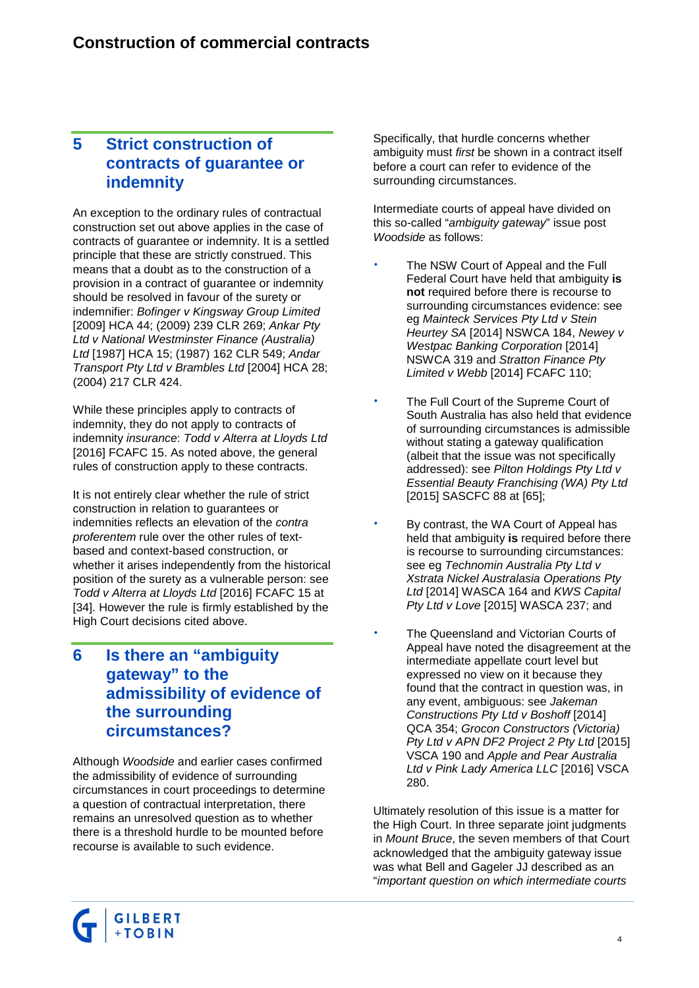#### **5 Strict construction of contracts of guarantee or indemnity**

An exception to the ordinary rules of contractual construction set out above applies in the case of contracts of guarantee or indemnity. It is a settled principle that these are strictly construed. This means that a doubt as to the construction of a provision in a contract of guarantee or indemnity should be resolved in favour of the surety or indemnifier: *Bofinger v Kingsway Group Limited* [2009] HCA 44; (2009) 239 CLR 269; *Ankar Pty Ltd v National Westminster Finance (Australia) Ltd* [1987] HCA 15; (1987) 162 CLR 549; *Andar Transport Pty Ltd v Brambles Ltd* [2004] HCA 28; (2004) 217 CLR 424.

While these principles apply to contracts of indemnity, they do not apply to contracts of indemnity *insurance*: *Todd v Alterra at Lloyds Ltd* [2016] FCAFC 15. As noted above, the general rules of construction apply to these contracts.

It is not entirely clear whether the rule of strict construction in relation to guarantees or indemnities reflects an elevation of the *contra proferentem* rule over the other rules of textbased and context-based construction, or whether it arises independently from the historical position of the surety as a vulnerable person: see *Todd v Alterra at Lloyds Ltd* [2016] FCAFC 15 at [34]. However the rule is firmly established by the High Court decisions cited above.

#### **6 Is there an "ambiguity gateway" to the admissibility of evidence of the surrounding circumstances?**

Although *Woodside* and earlier cases confirmed the admissibility of evidence of surrounding circumstances in court proceedings to determine a question of contractual interpretation, there remains an unresolved question as to whether there is a threshold hurdle to be mounted before recourse is available to such evidence.

Specifically, that hurdle concerns whether ambiguity must *first* be shown in a contract itself before a court can refer to evidence of the surrounding circumstances.

Intermediate courts of appeal have divided on this so-called "*ambiguity gateway*" issue post *Woodside* as follows:

- The NSW Court of Appeal and the Full Federal Court have held that ambiguity **is not** required before there is recourse to surrounding circumstances evidence: see eg *Mainteck Services Pty Ltd v Stein Heurtey SA* [2014] NSWCA 184, *Newey v Westpac Banking Corporation* [2014] NSWCA 319 and *Stratton Finance Pty Limited v Webb* [2014] FCAFC 110;
- The Full Court of the Supreme Court of South Australia has also held that evidence of surrounding circumstances is admissible without stating a gateway qualification (albeit that the issue was not specifically addressed): see *Pilton Holdings Pty Ltd v Essential Beauty Franchising (WA) Pty Ltd* [2015] SASCFC 88 at [65];
- By contrast, the WA Court of Appeal has held that ambiguity **is** required before there is recourse to surrounding circumstances: see eg *Technomin Australia Pty Ltd v Xstrata Nickel Australasia Operations Pty Ltd* [2014] WASCA 164 and *KWS Capital Pty Ltd v Love* [2015] WASCA 237; and
- The Queensland and Victorian Courts of Appeal have noted the disagreement at the intermediate appellate court level but expressed no view on it because they found that the contract in question was, in any event, ambiguous: see *Jakeman Constructions Pty Ltd v Boshoff* [2014] QCA 354; *Grocon Constructors (Victoria) Pty Ltd v APN DF2 Project 2 Pty Ltd* [2015] VSCA 190 and *Apple and Pear Australia Ltd v Pink Lady America LLC* [2016] VSCA 280.

Ultimately resolution of this issue is a matter for the High Court. In three separate joint judgments in *Mount Bruce*, the seven members of that Court acknowledged that the ambiguity gateway issue was what Bell and Gageler JJ described as an "*important question on which intermediate courts*